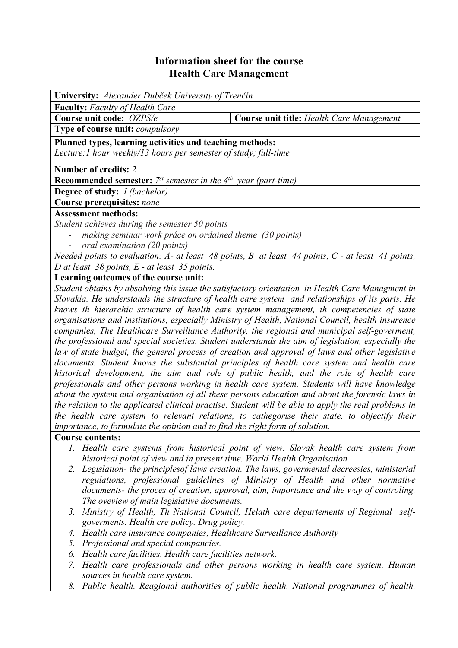# **Information sheet for the course Health Care Management**

| <b>University:</b> Alexander Dubček University of Trenčín                                                |  |
|----------------------------------------------------------------------------------------------------------|--|
| <b>Faculty:</b> Faculty of Health Care                                                                   |  |
| <b>Course unit title: Health Care Management</b>                                                         |  |
|                                                                                                          |  |
| Planned types, learning activities and teaching methods:                                                 |  |
| Lecture: 1 hour weekly/13 hours per semester of study; full-time                                         |  |
|                                                                                                          |  |
| <b>Recommended semester:</b> $7^{st}$ semester in the $4^{th}$ year (part-time)                          |  |
| <b>Degree of study:</b> <i>I (bachelor)</i>                                                              |  |
| Course prerequisites: none                                                                               |  |
| <b>Assessment methods:</b>                                                                               |  |
| Student achieves during the semester 50 points                                                           |  |
| making seminar work práce on ordained theme (30 points)                                                  |  |
| oral examination (20 points)                                                                             |  |
| Needed points to evaluation: $A$ - at least 48 points, $B$ at least 44 points, $C$ - at least 41 points, |  |
| D at least $38$ points, E - at least $35$ points.                                                        |  |
|                                                                                                          |  |

### **Learning outcomes of the course unit:**

*Student obtains by absolving this issue the satisfactory orientation in Health Care Managment in Slovakia. He understands the structure of health care system and relationships of its parts. He knows th hierarchic structure of health care system management, th competencies of state organisations and institutions, especially Ministry of Health, National Council, health insurence companies, The Healthcare Surveillance Authority, the regional and municipal self-goverment, the professional and special societies. Student understands the aim of legislation, especially the law of state budget, the general process of creation and approval of laws and other legislative documents. Student knows the substantial principles of health care system and health care historical development, the aim and role of public health, and the role of health care professionals and other persons working in health care system. Students will have knowledge about the system and organisation of all these persons education and about the forensic laws in the relation to the applicated clinical practise. Student will be able to apply the real problems in the health care system to relevant relations, to cathegorise their state, to objectify their importance, to formulate the opinion and to find the right form of solution.* 

### **Course contents:**

- *1. Health care systems from historical point of view. Slovak health care system from historical point of view and in present time. World Health Organisation.*
- *2. Legislation- the principlesof laws creation. The laws, govermental decreesies, ministerial regulations, professional guidelines of Ministry of Health and other normative documents- the proces of creation, approval, aim, importance and the way of controling. The oveview of main legislative documents.*
- *3. Ministry of Health, Th National Council, Helath care departements of Regional selfgoverments. Health cre policy. Drug policy.*
- *4. Health care insurance companies, Healthcare Surveillance Authority*
- *5. Professional and special compancies.*
- *6. Health care facilities. Health care facilities network.*
- *7. Health care professionals and other persons working in health care system. Human sources in health care system.*
- *8. Public health. Reagional authorities of public health. National programmes of health.*